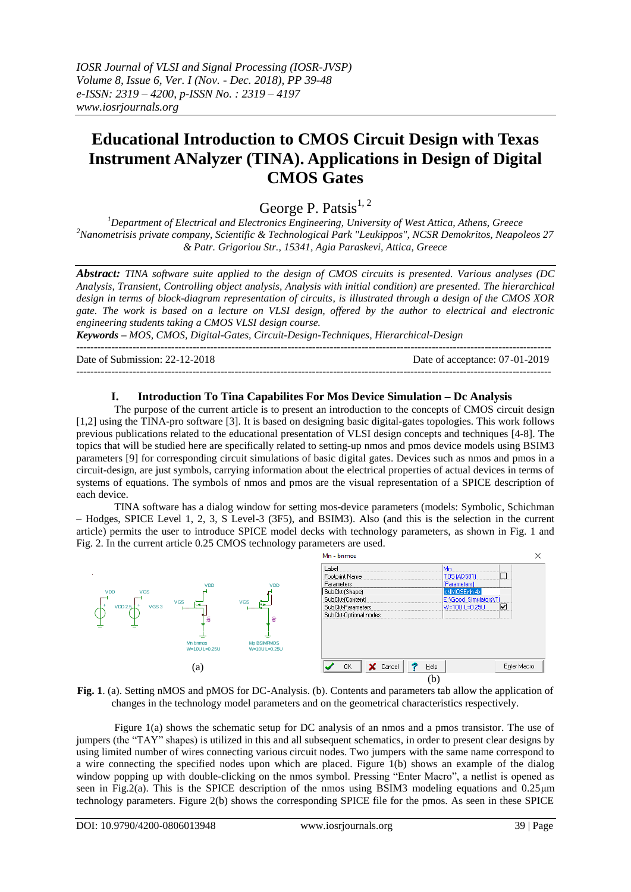*IOSR Journal of VLSI and Signal Processing (IOSR-JVSP) Volume 8, Issue 6, Ver. I (Nov. - Dec. 2018), PP 39-48 e-ISSN: 2319 – 4200, p-ISSN No. : 2319 – 4197 www.iosrjournals.org*

# **Educational Introduction to CMOS Circuit Design with Texas Instrument ANalyzer (TINA). Applications in Design of Digital CMOS Gates**

George P. Patsis $^{1, 2}$ 

*<sup>1</sup>Department of Electrical and Electronics Engineering, University of West Attica, Athens, Greece <sup>2</sup>Nanometrisis private company, Scientific & Technological Park "Leukippos", NCSR Demokritos, Neapoleos 27 & Patr. Grigoriou Str., 15341, Agia Paraskevi, Attica, Greece*

*Abstract: TINA software suite applied to the design of CMOS circuits is presented. Various analyses (DC Analysis, Transient, Controlling object analysis, Analysis with initial condition) are presented. The hierarchical design in terms of block-diagram representation of circuits, is illustrated through a design of the CMOS XOR gate. The work is based on a lecture on VLSI design, offered by the author to electrical and electronic engineering students taking a CMOS VLSI design course.* 

*Keywords – MOS, CMOS, Digital-Gates, Circuit-Design-Techniques, Hierarchical-Design*

Date of Submission: 22-12-2018 Date of acceptance: 07-01-2019

---------------------------------------------------------------------------------------------------------------------------------------

---------------------------------------------------------------------------------------------------------------------------------------

## **I. Introduction To Tina Capabilites For Mos Device Simulation – Dc Analysis**

The purpose of the current article is to present an introduction to the concepts of CMOS circuit design [1,2] using the TINA-pro software [3]. It is based on designing basic digital-gates topologies. This work follows previous publications related to the educational presentation of VLSI design concepts and techniques [4-8]. The topics that will be studied here are specifically related to setting-up nmos and pmos device models using BSIM3 parameters [9] for corresponding circuit simulations of basic digital gates. Devices such as nmos and pmos in a circuit-design, are just symbols, carrying information about the electrical properties of actual devices in terms of systems of equations. The symbols of nmos and pmos are the visual representation of a SPICE description of each device.

TINA software has a dialog window for setting mos-device parameters (models: Symbolic, Schichman – Hodges, SPICE Level 1, 2, 3, S Level-3 (3F5), and BSIM3). Also (and this is the selection in the current article) permits the user to introduce SPICE model decks with technology parameters, as shown in Fig. 1 and Fig. 2. In the current article 0.25 CMOS technology parameters are used.





Figure 1(a) shows the schematic setup for DC analysis of an nmos and a pmos transistor. The use of jumpers (the "TAY" shapes) is utilized in this and all subsequent schematics, in order to present clear designs by using limited number of wires connecting various circuit nodes. Two jumpers with the same name correspond to a wire connecting the specified nodes upon which are placed. Figure 1(b) shows an example of the dialog window popping up with double-clicking on the nmos symbol. Pressing "Enter Macro", a netlist is opened as seen in Fig.2(a). This is the SPICE description of the nmos using BSIM3 modeling equations and 0.25μm technology parameters. Figure 2(b) shows the corresponding SPICE file for the pmos. As seen in these SPICE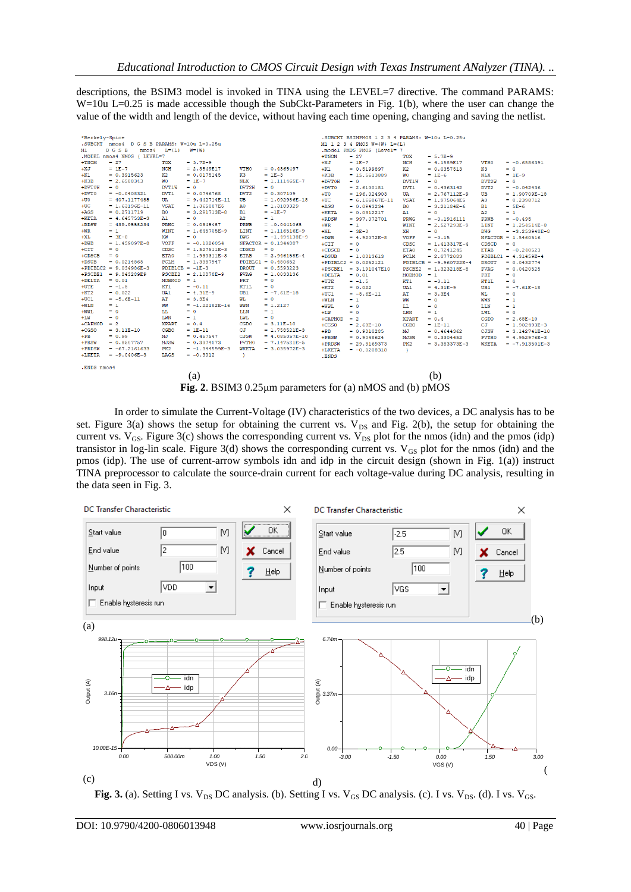descriptions, the BSIM3 model is invoked in TINA using the LEVEL=7 directive. The command PARAMS: W=10u L=0.25 is made accessible though the SubCkt-Parameters in Fig. 1(b), where the user can change the value of the width and length of the device, without having each time opening, changing and saving the netlist.

| .SUBCKT nmos4 D G S B PARAMS: W=10u L=0.25u<br>M1 1 2 3 4 PMOS $W = \{W\}$ L= $\{L\}$                                                                                                          |  |
|------------------------------------------------------------------------------------------------------------------------------------------------------------------------------------------------|--|
| M1.<br>DGSB<br>$nmos4$ $L=4L$<br>$W = \{W\}$<br>.model PMOS PMOS (Level= 7                                                                                                                     |  |
| .MODEL nmos4 NMOS ( LEVEL=7                                                                                                                                                                    |  |
| $+TNOM$<br>$= 27$<br>$= 5.7E-9$<br>TOX<br>$+TNOM$<br>$= 27$<br>$= 5.7E-9$<br>TOX                                                                                                               |  |
| $+XJ$<br>$= 1E-7$<br><b>NCH</b><br>$= 4.1589E17$<br><b>VTHO</b><br>$= -0.6586391$<br><b>NCH</b><br>$+XJ$<br>$= 1E-7$<br>$= 2.3549E17$<br><b>VTHO</b><br>$= 0.4365497$                          |  |
| $+K1$<br>K2<br>KЗ<br>$= 0.5199897$<br>$= 0.0357513$<br>$= 0$                                                                                                                                   |  |
| $+K1$<br>$= 0.3915623$<br>K2<br>$= 0.0175145$<br>K <sub>3</sub><br>$= 1E-3$<br>$+K3B$<br>$= 15.5613889$<br>$= 1E-6$<br>NLX<br>$= 1E-9$<br>WO.                                                  |  |
| $+K3B$<br><b>NLX</b><br>$= 2.6588343$<br>WО<br>$= 1E-7$<br>$= 1.111465E - 7$<br>+DVTOW<br><b>DVT1W</b><br>DVT2W<br>$= 0$<br>$= 0$<br>$= 0$                                                     |  |
| +DVTOW<br>$= 0$<br>DVT1W<br>DVT2W<br>$= 0$<br>$= 0$<br>$+DVT0$<br>DVT <sub>1</sub><br>DVT <sub>2</sub><br>$= 2.6100181$<br>$= 0.4363142$<br>$= -0.042436$<br>$+DVTO$<br>DVT <sub>2</sub>       |  |
| DVT <sub>1</sub><br>$= 0.307109$<br>$= -0.0408321$<br>$= 0.0746768$<br>$+110$<br>$= 196.024903$<br>$= 2.767112E-9$<br><b>UB</b><br>$= 1.90709E-18$<br>UA                                       |  |
| $+00$<br>$= 407.1177485$<br>UA<br>$= 9.442714E-11$<br>UB<br>$= 1.092986E-18$<br>$+UC$<br><b>VSAT</b><br>$= 0.2398712$<br>$= 6.166867E - 11$<br>$= 1.975064E5$<br>A0.                           |  |
| $+UC$<br><b>VSAT</b><br>$= 1.63196E - 11$<br>$= 1.365087E5$<br>$= 1.3189329$<br>A0.<br>$+AGS$<br>B <sub>0</sub><br>$= 3.21184E-6$<br>$= 5E-6$<br>$= 0.0943234$<br><b>B1</b>                    |  |
| $+AGS$<br>$= 0.2711719$<br>$= 3.291713E-8$<br>B <sub>0</sub><br><b>B1</b><br>$ = -1E - 7$<br>$+$ <b>KETA</b><br>$= 0.0312217$<br>$= 0$<br>A2<br>$= 1$<br>A1.                                   |  |
| $+KETA$<br>$= 4.645753E-3$<br>A2<br>A1.<br>$= 0$<br>$= 1$<br>$+$ RDSW<br>$= 997.072701$<br>$= -0.1916111$<br>$= -0.495$<br>PRWG<br><b>PRWB</b>                                                 |  |
| $+$ RDSW<br>$= 439.9558234$<br><b>PRWG</b><br>$= 0.0345487$<br><b>PRWB</b><br>$= -0.0441065$<br>$+WR$<br>WINT<br>$= 1$<br>$= 2.527293E-9$<br>LINT<br>$= 1.254514E-8$                           |  |
| $+WR$<br>$= 1$<br><b>WINT</b><br>LINT<br>$= 1.645705E-9$<br>$= 1.116516E-9$<br>$+XL$<br>XW<br>DWG<br>$= -3.253948E - 8$<br>$= 3E-8$<br>$= 0$                                                   |  |
| $+XL$<br>XW<br><b>DWG</b><br>$= 3E-8$<br>$= 0$<br>$= -1.494138E-9$<br>$+DWB$<br>$= 4.92072E-8$<br><b>VOFF</b><br>$= -0.15$<br>$NFACTOR = 1.5460516$                                            |  |
| $+DWB$<br><b>VOFF</b><br>$= 1.459097E - 8$<br>$= -0.1026054$<br>$NFACTOR = 0.1344887$<br>$+CTT$<br>CDSC<br>$= 1.413317E-4$<br>CDSCD<br>$= 0$<br>$= 0$                                          |  |
| $+CIT$<br>CDSC<br>$= 1.527511E-3$<br>CDSCD<br>$= 0$<br>$= 0$<br>ETA0<br>$+CDSCB$<br>$= 0.7241245$<br><b>ETAB</b><br>$= -0.240523$<br>$= 0$                                                     |  |
| $+CDCB$<br>ETA0<br>$= 1.930311E-3$<br><b>ETAB</b><br>$= 0$<br>$= 2.946158E-4$<br>$+DSUB$<br>$= 1.0813613$<br>PCLM<br>$= 2.0772083$<br>$PDIBLC1 = 4.31459E-4$                                   |  |
| $+DSUB$<br>PCLM<br>$PDIBLC1 = 0.480652$<br>$= 0.0214865$<br>$= 1.3387947$<br>$+$ PDIBLC2 = 0.0252121<br>$PDIBLCB = -9.960722E-4$<br><b>DROUT</b><br>$= 0.0432774$                              |  |
| $+$ PDIBLC2 = 9.034986E-3<br>$PDIBLEB = -1E-3$<br><b>DROUT</b><br>$= 0.5593223$<br>$+PSCBE1$<br><b>PVAG</b><br>$= 3.191047E10$<br>PSCBE2<br>$= 1.323218E-8$<br>$= 0.0420525$                   |  |
| $+PSCBE1 = 9.843289E9$<br>$PSCBE2 = 2.10878E-9$<br><b>PVAG</b><br>$= 1.0033136$<br>$+DELTA$<br>$= 0.01$<br>$MOBMOD = 1$<br>PRT<br>$= 0$                                                        |  |
| $+DELTA$<br>$= 0.01$<br>$MOBMOD = 1$<br>PRT<br>$= 0$<br>$+UTE$<br>$= -1.5$<br>KT1<br>$= -0.11$<br>KTIL<br>$= 0$                                                                                |  |
| $+UTE$<br>$= -1.5$<br>KT1<br>$= -0.11$<br>KTIL<br>$= 0$<br>$+KT2$<br>UA1<br>$= 4.31E-9$<br>UB <sub>1</sub><br>$= -7.61E - 18$<br>$= 0.022$                                                     |  |
| $+KT2$<br>UB1<br>$= 0.022$<br>UA1<br>$= 4.31E-9$<br>$= -7.61E - 18$<br>$+UC1$<br>$= -5.6E-11$<br>AT<br>$= 3.3E4$<br>WT.<br>$= 0$                                                               |  |
| $+UC1$<br>$= -5.6E-11$<br>AT<br>$= 3.3E4$<br>WL.<br>$= 0$<br>$+WLM$<br>$= 1$<br>WW<br>$= 0$<br>WWN<br>$= 1$                                                                                    |  |
| $+WLN$<br>$= 1$<br>WW<br>$= -1.22182E-16$<br>$= 1.2127$<br>WWN<br>$+WWL$<br>$= 0$<br>LL.<br>LLN<br>$= 1$<br>$= 0$                                                                              |  |
| LLN<br>$+WWL$<br>LL.<br>$= 0$<br>$-1$<br>$= 0$<br>$+LW$<br>LWN<br>LWL.<br>$= 0$<br>$= 1$<br>$= 0$                                                                                              |  |
| $+LM$<br>$= 0$<br><b>T.WN</b><br>$= 1$<br>LWL.<br>$= 0$<br>+CAPMOD<br>$= 2$<br><b>XPART</b><br>$= 0.4$<br>CGDO<br>$= 2.68E-10$                                                                 |  |
| $+$ CAPMOD<br><b>XPART</b><br>$= 0.4$<br>CGDO<br>$= 3.11E-10$<br>$= 2$<br>$+CSO$<br>$= 2.68E-10$<br><b>CGBO</b><br>$=$ 1E-11<br>CJ<br>$= 1.902493E-3$                                          |  |
| $+CGSO$<br>CGBO<br>$= 3.11E-10$<br>$= 1E-11$<br>CJ<br>$= 1.758521E-3$<br>$+PB$<br>$= 0.9810285$<br>MJ<br>$= 0.4644362$<br>CJSW<br>$= 3.142741E-10$                                             |  |
| $+$ PB<br>$= 0.99$<br>$= 0.457547$<br><b>CJSW</b><br>$= 4.085057E-10$<br>MJ<br>$+$ PRSW<br>$= 0.9048624$<br>$= 0.3304452$<br><b>PVTHO</b><br>$= 4.952976E-3$<br><b>MJSW</b>                    |  |
| $+$ PBSW<br>$= 0.8507757$<br>MJSW<br>$= 0.3374073$<br><b>PVTHO</b><br>$= 7.147521E-5$<br>$+$ PRDSW<br>PK <sub>2</sub><br><b>WKETA</b><br>$= 29.8169373$<br>$= 3.383373E-3$<br>$= -7.913501E-3$ |  |
| $+$ PRDSW<br>PK2<br><b>WKETA</b><br>$= -67.2161633$<br>$= -1.344599E-3$<br>$= 3.035972E-3$<br>+LKETA<br>$= -0.0208318$<br>$\mathcal{L}$                                                        |  |
| $+LKEY A$<br>LAGS<br>$\mathcal{L}$<br>$= -9.0406E - 3$<br>$= -0.3012$<br>.ENDS                                                                                                                 |  |
| .ENDS nmos4                                                                                                                                                                                    |  |
| (b)<br>(a)                                                                                                                                                                                     |  |
| $T1$ $A$ $B$ $C$ $D$ $D$ $D$ $A$ $B$                                                                                                                                                           |  |



In order to simulate the Current-Voltage (IV) characteristics of the two devices, a DC analysis has to be set. Figure 3(a) shows the setup for obtaining the current vs.  $V_{DS}$  and Fig. 2(b), the setup for obtaining the current vs.  $V_{GS}$ . Figure 3(c) shows the corresponding current vs.  $V_{DS}$  plot for the nmos (idn) and the pmos (idp) transistor in log-lin scale. Figure 3(d) shows the corresponding current vs.  $V_{GS}$  plot for the nmos (idn) and the pmos (idp). The use of current-arrow symbols idn and idp in the circuit design (shown in Fig. 1(a)) instruct TINA preprocessor to calculate the source-drain current for each voltage-value during DC analysis, resulting in the data seen in Fig. 3.



Fig. 3. (a). Setting I vs.  $V_{DS}$  DC analysis. (b). Setting I vs.  $V_{GS}$  DC analysis. (c). I vs.  $V_{DS}$ . (d). I vs.  $V_{GS}$ .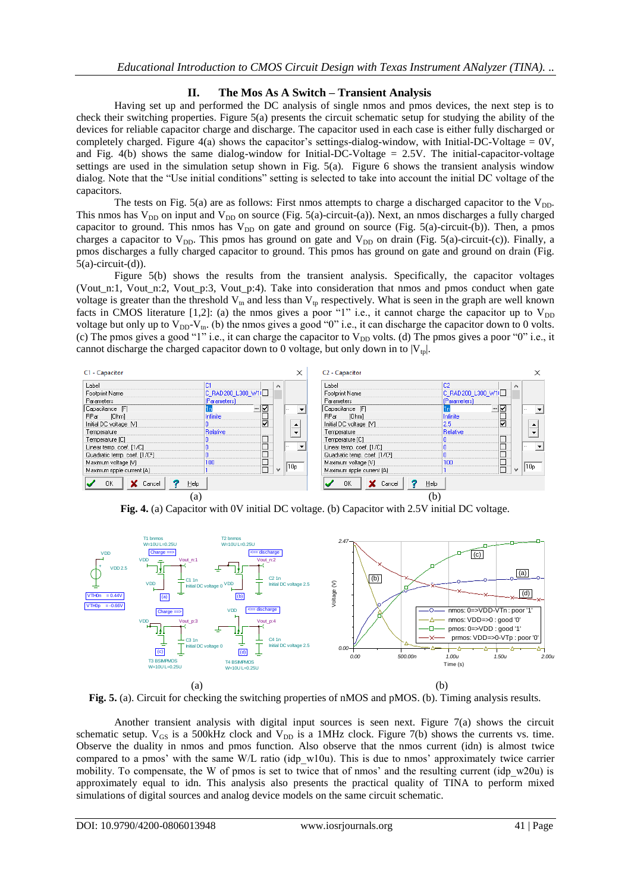## **II. The Mos As A Switch – Transient Analysis**

Having set up and performed the DC analysis of single nmos and pmos devices, the next step is to check their switching properties. Figure 5(a) presents the circuit schematic setup for studying the ability of the devices for reliable capacitor charge and discharge. The capacitor used in each case is either fully discharged or completely charged. Figure 4(a) shows the capacitor's settings-dialog-window, with Initial-DC-Voltage =  $0V$ , and Fig.  $4(b)$  shows the same dialog-window for Initial-DC-Voltage = 2.5V. The initial-capacitor-voltage settings are used in the simulation setup shown in Fig. 5(a). Figure 6 shows the transient analysis window dialog. Note that the "Use initial conditions" setting is selected to take into account the initial DC voltage of the capacitors.

The tests on Fig.  $5(a)$  are as follows: First nmos attempts to charge a discharged capacitor to the  $V_{DD}$ . This nmos has  $V_{DD}$  on input and  $V_{DD}$  on source (Fig. 5(a)-circuit-(a)). Next, an nmos discharges a fully charged capacitor to ground. This nmos has  $V_{DD}$  on gate and ground on source (Fig. 5(a)-circuit-(b)). Then, a pmos charges a capacitor to  $V_{DD}$ . This pmos has ground on gate and  $V_{DD}$  on drain (Fig. 5(a)-circuit-(c)). Finally, a pmos discharges a fully charged capacitor to ground. This pmos has ground on gate and ground on drain (Fig.  $5(a)$ -circuit- $(d)$ ).

Figure 5(b) shows the results from the transient analysis. Specifically, the capacitor voltages (Vout\_n:1, Vout\_n:2, Vout\_p:3, Vout\_p:4). Take into consideration that nmos and pmos conduct when gate voltage is greater than the threshold  $V_{tn}$  and less than  $V_{tp}$  respectively. What is seen in the graph are well known facts in CMOS literature [1,2]: (a) the nmos gives a poor "1" i.e., it cannot charge the capacitor up to  $V_{DD}$ voltage but only up to  $V_{DD}-V_{tn}$ . (b) the nmos gives a good "0" i.e., it can discharge the capacitor down to 0 volts. (c) The pmos gives a good "1" i.e., it can charge the capacitor to  $V_{DD}$  volts. (d) The pmos gives a poor "0" i.e., it cannot discharge the charged capacitor down to 0 voltage, but only down in to  $|V_{\text{tp}}|$ .



**Fig. 4.** (a) Capacitor with 0V initial DC voltage. (b) Capacitor with 2.5V initial DC voltage.



**Fig. 5.** (a). Circuit for checking the switching properties of nMOS and pMOS. (b). Timing analysis results.

Another transient analysis with digital input sources is seen next. Figure 7(a) shows the circuit schematic setup.  $V_{GS}$  is a 500kHz clock and  $V_{DD}$  is a 1MHz clock. Figure 7(b) shows the currents vs. time. Observe the duality in nmos and pmos function. Also observe that the nmos current (idn) is almost twice compared to a pmos' with the same W/L ratio (idp w10u). This is due to nmos' approximately twice carrier mobility. To compensate, the W of pmos is set to twice that of nmos' and the resulting current (idp w20u) is approximately equal to idn. This analysis also presents the practical quality of TINA to perform mixed simulations of digital sources and analog device models on the same circuit schematic.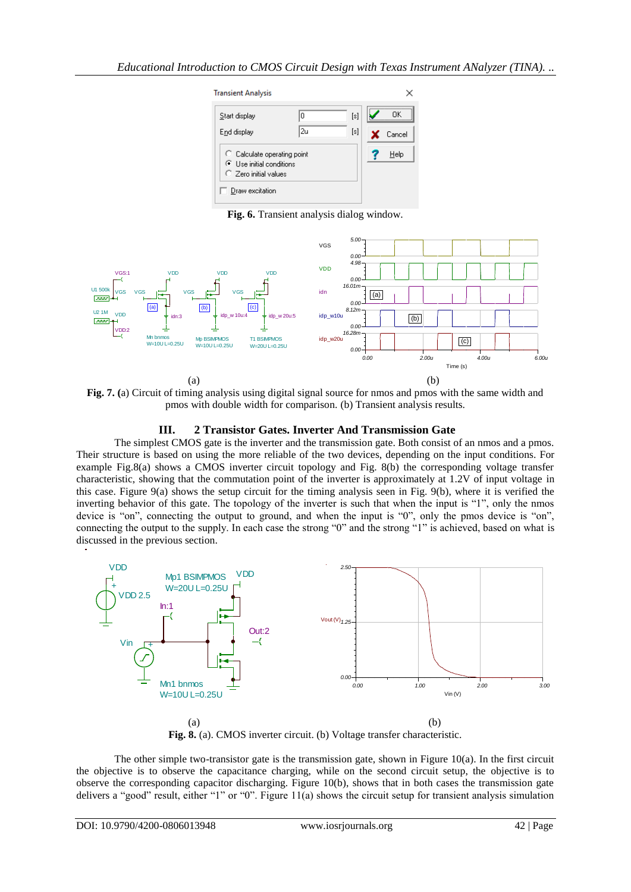

**Fig. 6.** Transient analysis dialog window.



**Fig. 7. (**a) Circuit of timing analysis using digital signal source for nmos and pmos with the same width and pmos with double width for comparison. (b) Transient analysis results.

## **III. 2 Transistor Gates. Inverter And Transmission Gate**

The simplest CMOS gate is the inverter and the transmission gate. Both consist of an nmos and a pmos. Their structure is based on using the more reliable of the two devices, depending on the input conditions. For example Fig.8(a) shows a CMOS inverter circuit topology and Fig. 8(b) the corresponding voltage transfer characteristic, showing that the commutation point of the inverter is approximately at 1.2V of input voltage in this case. Figure 9(a) shows the setup circuit for the timing analysis seen in Fig. 9(b), where it is verified the inverting behavior of this gate. The topology of the inverter is such that when the input is "1", only the nmos device is "on", connecting the output to ground, and when the input is "0", only the pmos device is "on", connecting the output to the supply. In each case the strong "0" and the strong "1" is achieved, based on what is discussed in the previous section.



**Fig. 8.** (a). CMOS inverter circuit. (b) Voltage transfer characteristic.

The other simple two-transistor gate is the transmission gate, shown in Figure  $10(a)$ . In the first circuit the objective is to observe the capacitance charging, while on the second circuit setup, the objective is to observe the corresponding capacitor discharging. Figure 10(b), shows that in both cases the transmission gate delivers a "good" result, either "1" or "0". Figure 11(a) shows the circuit setup for transient analysis simulation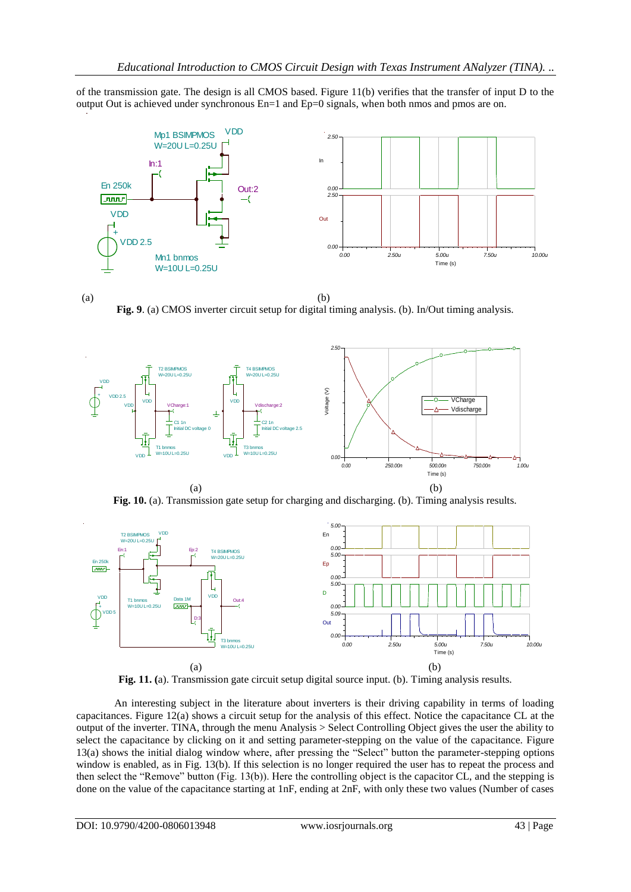of the transmission gate. The design is all CMOS based. Figure  $11(b)$  verifies that the transfer of input D to the output Out is achieved under synchronous En=1 and Ep=0 signals, when both nmos and pmos are on.



 $(a)$  (b) **Fig. 9**. (a) CMOS inverter circuit setup for digital timing analysis. (b). In/Out timing analysis.



**Fig. 10.** (a). Transmission gate setup for charging and discharging. (b). Timing analysis results.



**Fig. 11. (**a). Transmission gate circuit setup digital source input. (b). Timing analysis results.

An interesting subject in the literature about inverters is their driving capability in terms of loading capacitances. Figure 12(a) shows a circuit setup for the analysis of this effect. Notice the capacitance CL at the output of the inverter. TINA, through the menu Analysis > Select Controlling Object gives the user the ability to select the capacitance by clicking on it and setting parameter-stepping on the value of the capacitance. Figure 13(a) shows the initial dialog window where, after pressing the "Select" button the parameter-stepping options window is enabled, as in Fig. 13(b). If this selection is no longer required the user has to repeat the process and then select the "Remove" button (Fig. 13(b)). Here the controlling object is the capacitor CL, and the stepping is done on the value of the capacitance starting at 1nF, ending at 2nF, with only these two values (Number of cases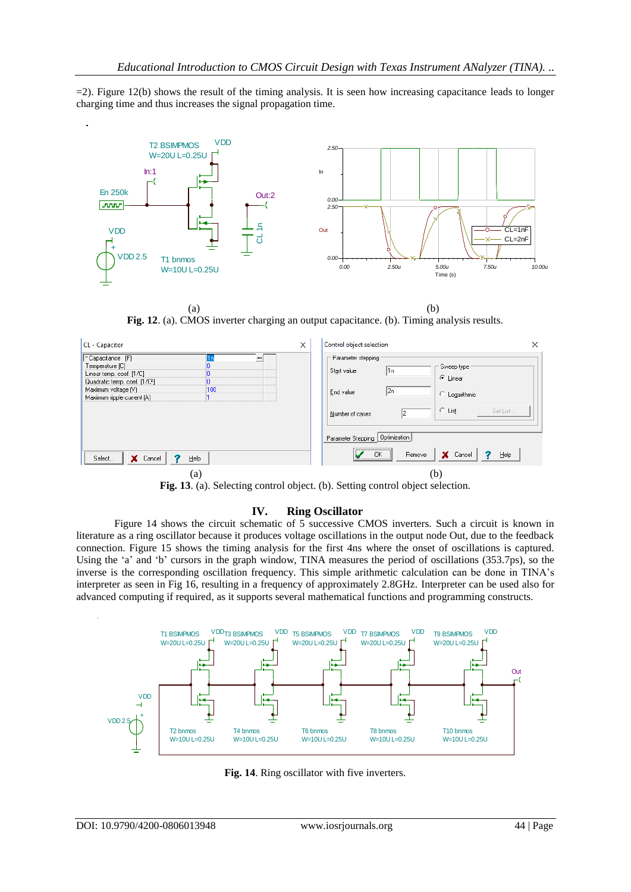$=$ 2). Figure 12(b) shows the result of the timing analysis. It is seen how increasing capacitance leads to longer charging time and thus increases the signal propagation time.



 $(a)$  (b) **Fig. 12**. (a). CMOS inverter charging an output capacitance. (b). Timing analysis results.

| CL - Capacitor                                                                                                                                                              | Control object selection<br>$\times$<br>×                                                                                                                |
|-----------------------------------------------------------------------------------------------------------------------------------------------------------------------------|----------------------------------------------------------------------------------------------------------------------------------------------------------|
| <sup>8</sup> Capacitance [F]<br><br>Temperature [C]<br>Linear temp. coef. [1/C]<br>Quadratic temp. coef. [1/C2]<br>Maximum voltage [V]<br>100<br>Maximum ripple current (A) | Parameter stepping<br>Sweep type:<br>l1n<br>Start value<br>C Linear<br>2n<br>End value<br>C Logarithmic<br>$C$ List<br>Set List<br>l2<br>Number of cases |
| X Cancel<br>Select<br>Help<br>(a)                                                                                                                                           | Parameter Stepping   Optimization<br>X Cancel<br><b>OK</b><br>Remove<br>Help<br>(b)                                                                      |

**Fig. 13**. (a). Selecting control object. (b). Setting control object selection.

### **IV. Ring Oscillator**

Figure 14 shows the circuit schematic of 5 successive CMOS inverters. Such a circuit is known in literature as a ring oscillator because it produces voltage oscillations in the output node Out, due to the feedback connection. Figure 15 shows the timing analysis for the first 4ns where the onset of oscillations is captured. Using the 'a' and 'b' cursors in the graph window, TINA measures the period of oscillations (353.7ps), so the inverse is the corresponding oscillation frequency. This simple arithmetic calculation can be done in TINA"s interpreter as seen in Fig 16, resulting in a frequency of approximately 2.8GHz. Interpreter can be used also for advanced computing if required, as it supports several mathematical functions and programming constructs.



**Fig. 14**. Ring oscillator with five inverters.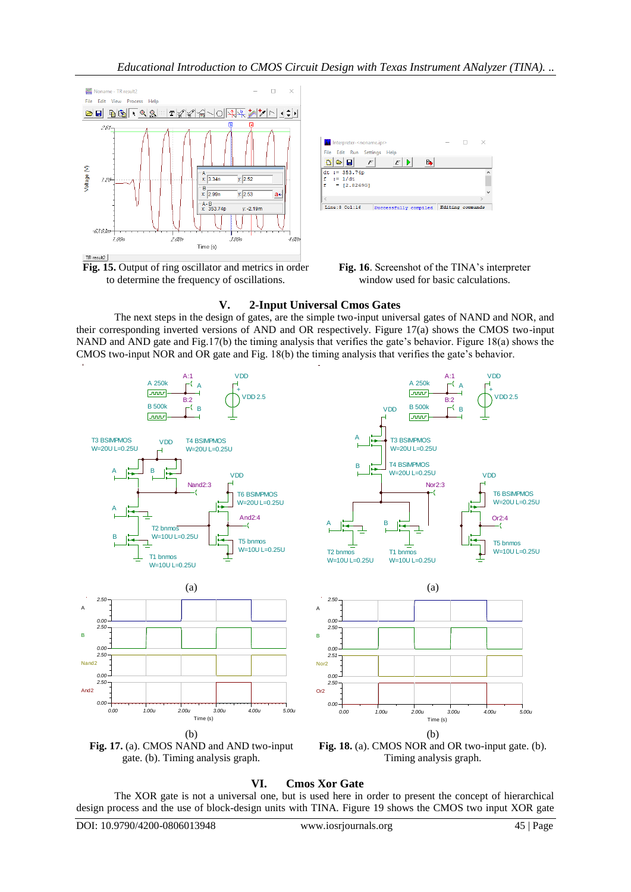

**Fig. 15.** Output of ring oscillator and metrics in order to determine the frequency of oscillations.



## **V. 2-Input Universal Cmos Gates**

The next steps in the design of gates, are the simple two-input universal gates of NAND and NOR, and their corresponding inverted versions of AND and OR respectively. Figure 17(a) shows the CMOS two-input NAND and AND gate and Fig.17(b) the timing analysis that verifies the gate"s behavior. Figure 18(a) shows the CMOS two-input NOR and OR gate and Fig. 18(b) the timing analysis that verifies the gate"s behavior.



Timing analysis graph.

**VI. Cmos Xor Gate**

The XOR gate is not a universal one, but is used here in order to present the concept of hierarchical design process and the use of block-design units with TINA. Figure 19 shows the CMOS two input XOR gate

gate. (b). Timing analysis graph.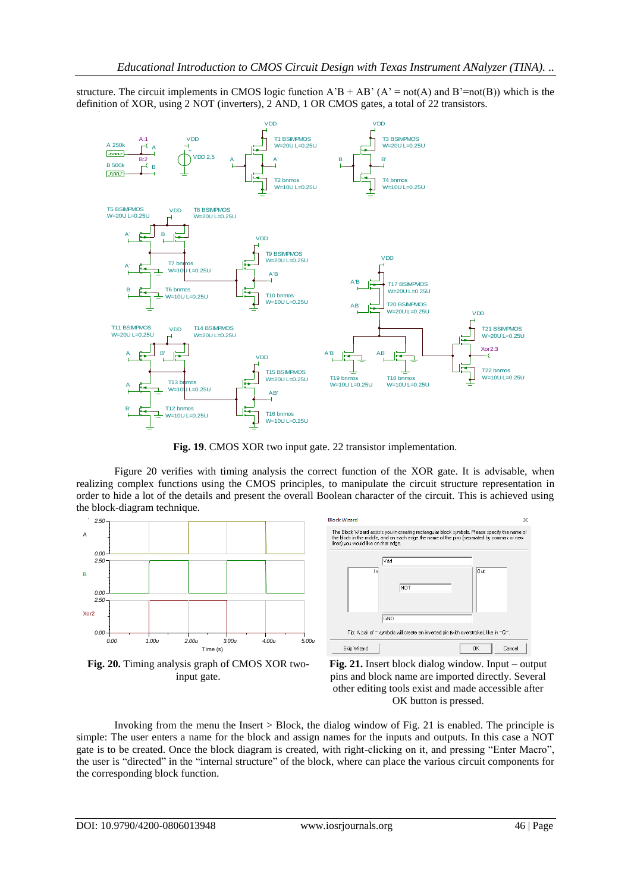structure. The circuit implements in CMOS logic function  $A'B + AB' (A' = not(A)$  and  $B' = not(B))$  which is the definition of XOR, using 2 NOT (inverters), 2 AND, 1 OR CMOS gates, a total of 22 transistors.



**Fig. 19**. CMOS XOR two input gate. 22 transistor implementation.

Figure 20 verifies with timing analysis the correct function of the XOR gate. It is advisable, when realizing complex functions using the CMOS principles, to manipulate the circuit structure representation in order to hide a lot of the details and present the overall Boolean character of the circuit. This is achieved using the block-diagram technique.



**Fig. 20.** Timing analysis graph of CMOS XOR twoinput gate.





Invoking from the menu the Insert > Block, the dialog window of Fig. 21 is enabled. The principle is simple: The user enters a name for the block and assign names for the inputs and outputs. In this case a NOT gate is to be created. Once the block diagram is created, with right-clicking on it, and pressing "Enter Macro", the user is "directed" in the "internal structure" of the block, where can place the various circuit components for the corresponding block function.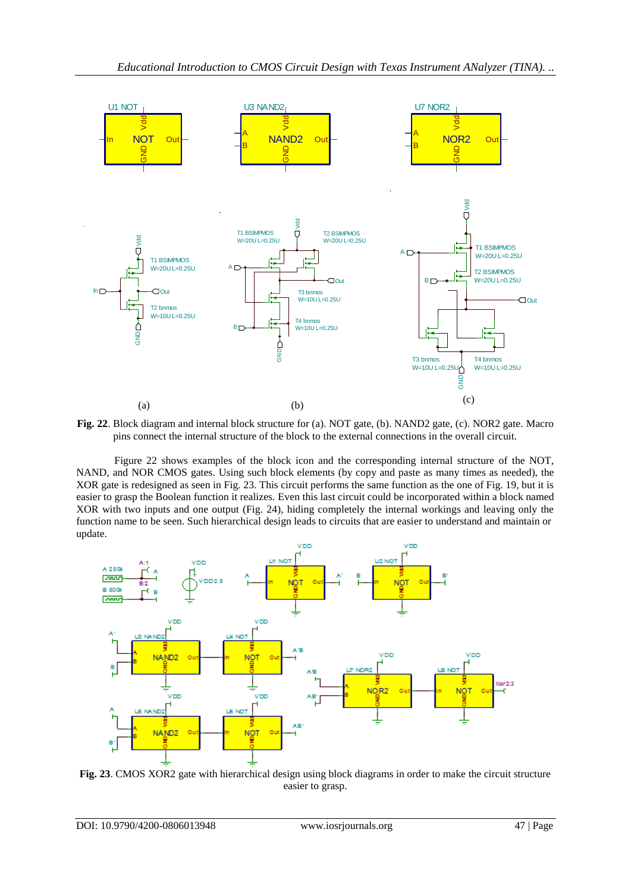

**Fig. 22**. Block diagram and internal block structure for (a). NOT gate, (b). NAND2 gate, (c). NOR2 gate. Macro pins connect the internal structure of the block to the external connections in the overall circuit.

Figure 22 shows examples of the block icon and the corresponding internal structure of the NOT, NAND, and NOR CMOS gates. Using such block elements (by copy and paste as many times as needed), the XOR gate is redesigned as seen in Fig. 23. This circuit performs the same function as the one of Fig. 19, but it is easier to grasp the Boolean function it realizes. Even this last circuit could be incorporated within a block named XOR with two inputs and one output (Fig. 24), hiding completely the internal workings and leaving only the function name to be seen. Such hierarchical design leads to circuits that are easier to understand and maintain or update.



**Fig. 23**. CMOS XOR2 gate with hierarchical design using block diagrams in order to make the circuit structure easier to grasp.